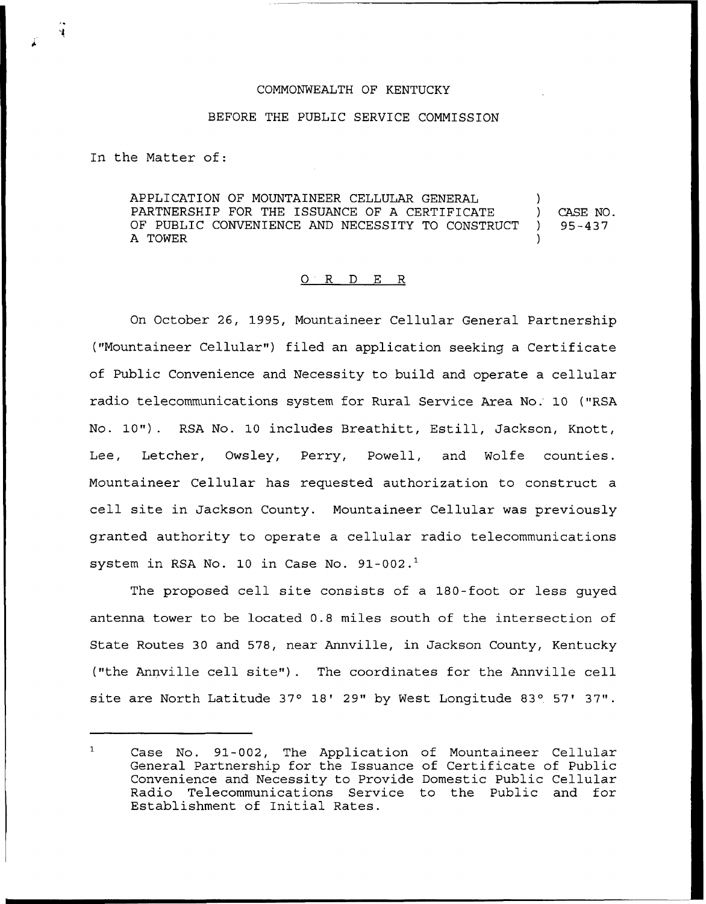## COMMONWEALTH OF KENTUCKY

## BEFORE THE PUBLIC SERVICE COMMISSION

In the Matter of:

APPLICATION OF MOUNTAINEER CELLULAR GENERAL PARTNERSHIP FOR THE ISSUANCE OF A CERTIFICATE OF PUBLIC CONVENIENCE AND NECESSITY TO CONSTRUCT A TONER ) ) CASE NO. ) 95-437 )

## 0 <sup>R</sup> <sup>D</sup> E R

On October 26, 1995, Mountaineer Cellular General Partnership ("Mountaineer Cellular") filed an application seeking a Certificate of Public Convenience and Necessity to build and operate a cellular radio telecommunications system for Rural Service Area No.'0 ("RSA No. 10"). RSA No. <sup>10</sup> includes Breathitt, Estill, Jackson, Knott, Lee, Letcher, Owsley, Perry, Powell, and Wolfe counties. Mountaineer Cellular has requested authorization to construct a cell site in Jackson County. Mountaineer Cellular was previously granted authority to operate a cellular radio telecommunications system in RSA No. 10 in Case No.  $91-002.<sup>1</sup>$ 

The proposed cell site consists of a 180-foot or less quyed antenna tower to be located 0.8 miles south of the intersection of State Routes 30 and 578, near Annville, in Jackson County, Kentucky ("the Annville cell site"). The coordinates for the Annville cell site are North Latitude 37° 18' 29" by West Longitude 83° 57' 37".

 $\mathbf{1}$ Case No. 91-002, The Application of Mountaineer Cellular General Partnership for the Issuance of Certificate of Public Convenience and Necessity to Provide Domestic Public Cellular Radio Telecommunications Service to the Public and for Establishment of Initial Rates.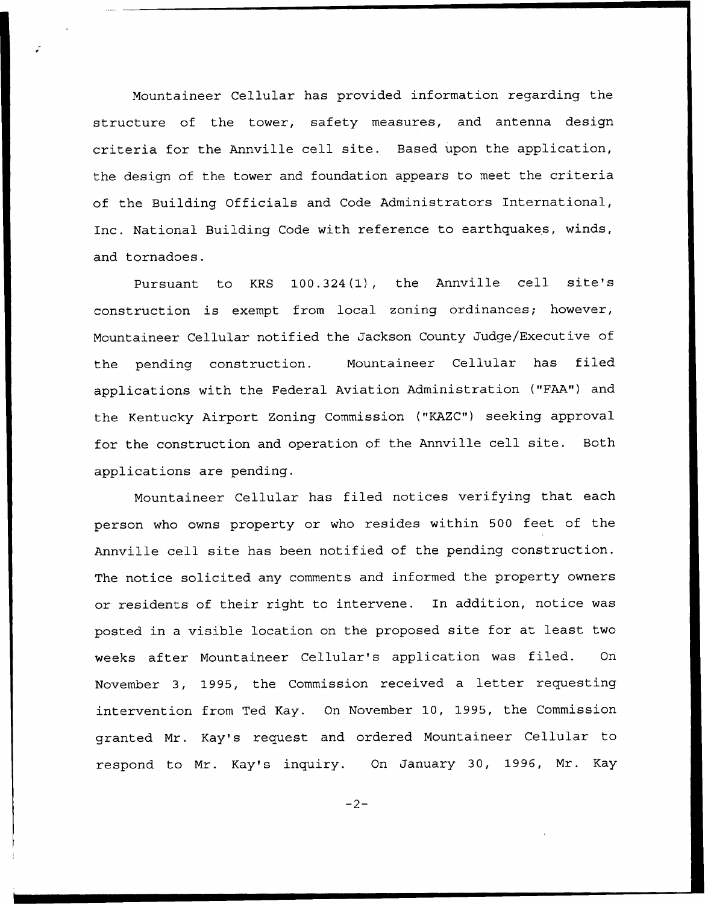Mountaineer Cellular has provided information regarding the structure of the tower, safety measures, and antenna design criteria for the Annville cell site. Based upon the application, the design of the tower and foundation appears to meet the criteria of the Building Officials and Code Administrators International, Inc. National Building Code with reference to earthquakes, winds, and tornadoes.

Pursuant to KRS 100.324(1), the Annville cell site's construction is exempt from local zoning ordinances; however, Mountaineer Cellular notified the Jackson County Judge/Executive of the pending construction. Mountaineer Cellular has filed applications with the Federal Aviation Administration ("FAA") and the Kentucky Airport Zoning Commission ("KAZC") seeking approval for the construction and operation of the Annville cell site. Both applications are pending.

Mountaineer Cellular has filed notices verifying that each person who owns property or who resides within 500 feet of the Annville cell site has been notified of the pending construction. The notice solicited any comments and informed the property owners or residents of their right to intervene. In addition, notice was posted in a visible location on the proposed site for at least two weeks after Mountaineer Cellular's application was filed. On November 3, 1995, the Commission received. <sup>a</sup> letter requesting intervention from Ted Kay. On November 10, 1995, the Commission granted Mr. Kay's request and ordered Mountaineer Cellular to respond to Mr. Kay's inquiry. On January 30, 1996, Mr. Kay

 $-2-$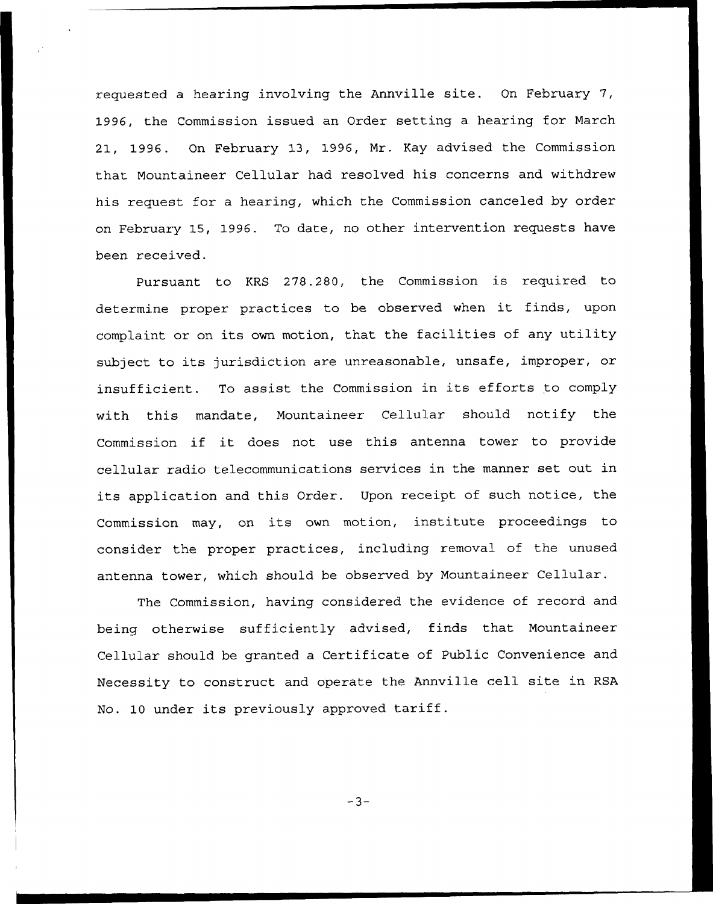requested a hearing involving the Annville site. On February 7, 1996, the Commission issued an Order setting a hearing for March 21, 1996. On February 13, 1996, Nr. Kay advised the Commission that Mountaineer Cellular had resolved his concerns and withdrew his request for a hearing, which the Commission canceled by order on February 15, 1996. To date, no other intervention requests have been received.

Pursuant to KRS 278.280, the Commission is required to determine proper practices to be observed when it finds, upon complaint or on its own motion, that the facilities of any utility subject to its jurisdiction are unreasonable, unsafe, improper, or insufficient. To assist the Commission in its efforts to comply with this mandate, Mountaineer Cellular should notify the Commission if it does not use this antenna tower to provide cellular radio telecommunications services in the manner set out in its application and this Order. Upon receipt of such notice, the Commission may, on its own motion, institute proceedings to consider the proper practices, including removal of the unused antenna tower, which should be observed by Nountaineer Cellular.

The Commission, having considered the evidence of record and being otherwise sufficiently advised, finds that Mountaineer Cellular should be granted a Certificate of Public Convenience and Necessity to construct and operate the Annville cell site in RSA No. <sup>10</sup> under its previously approved tariff.

 $-3-$